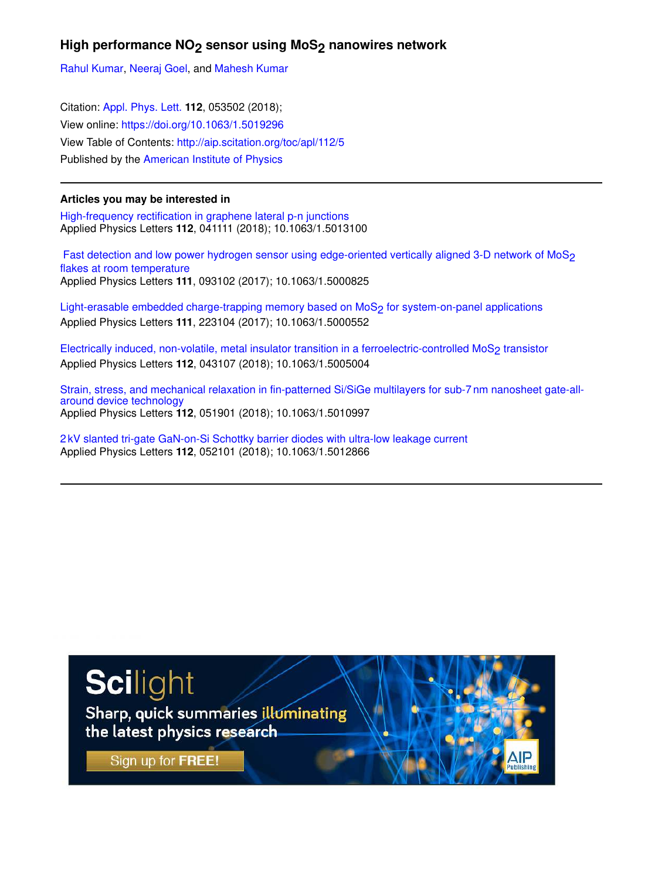## High performance NO<sub>2</sub> sensor using MoS<sub>2</sub> nanowires network

Rahul Kumar, Neeraj Goel, and Mahesh Kumar

Citation: Appl. Phys. Lett. **112**, 053502 (2018); View online: https://doi.org/10.1063/1.5019296 View Table of Contents: http://aip.scitation.org/toc/apl/112/5 Published by the American Institute of Physics

## **Articles you may be interested in**

High-frequency rectification in graphene lateral p-n junctions Applied Physics Letters **112**, 041111 (2018); 10.1063/1.5013100

Fast detection and low power hydrogen sensor using edge-oriented vertically aligned 3-D network of MoS<sub>2</sub> flakes at room temperature Applied Physics Letters **111**, 093102 (2017); 10.1063/1.5000825

Light-erasable embedded charge-trapping memory based on MoS<sub>2</sub> for system-on-panel applications Applied Physics Letters **111**, 223104 (2017); 10.1063/1.5000552

Electrically induced, non-volatile, metal insulator transition in a ferroelectric-controlled MoS<sub>2</sub> transistor Applied Physics Letters **112**, 043107 (2018); 10.1063/1.5005004

Strain, stress, and mechanical relaxation in fin-patterned Si/SiGe multilayers for sub-7 nm nanosheet gate-allaround device technology Applied Physics Letters **112**, 051901 (2018); 10.1063/1.5010997

2 kV slanted tri-gate GaN-on-Si Schottky barrier diodes with ultra-low leakage current Applied Physics Letters **112**, 052101 (2018); 10.1063/1.5012866

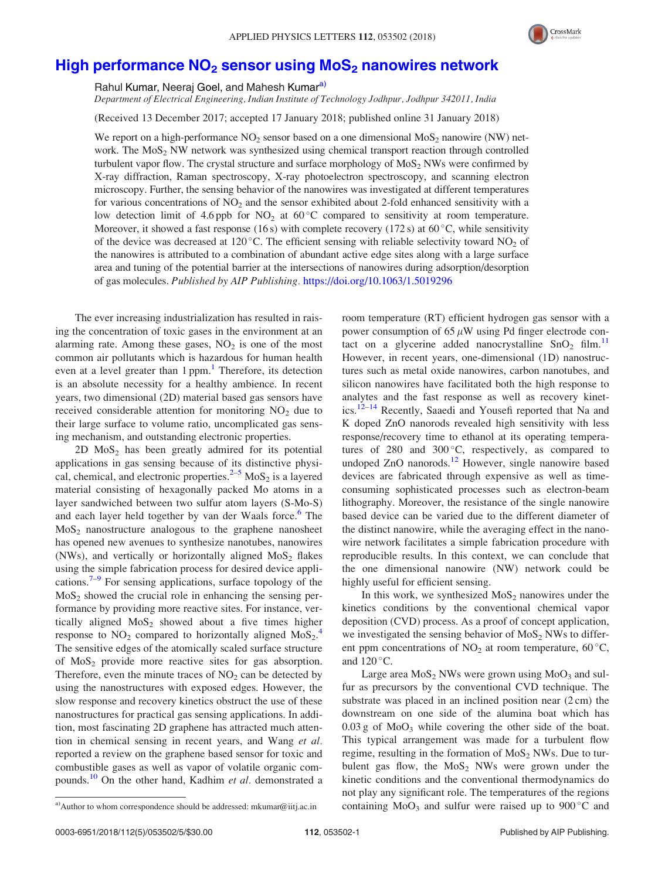

## High performance  $NO<sub>2</sub>$  sensor using  $Mo<sub>2</sub>$  nanowires network

Rahul Kumar, Neeraj Goel, and Mahesh Kumar<sup>a)</sup>

Department of Electrical Engineering, Indian Institute of Technology Jodhpur, Jodhpur 342011, India

(Received 13 December 2017; accepted 17 January 2018; published online 31 January 2018)

We report on a high-performance  $NO_2$  sensor based on a one dimensional  $Mo_2$  nanowire (NW) network. The  $M_0S_2$  NW network was synthesized using chemical transport reaction through controlled turbulent vapor flow. The crystal structure and surface morphology of  $MoS<sub>2</sub> NWs$  were confirmed by X-ray diffraction, Raman spectroscopy, X-ray photoelectron spectroscopy, and scanning electron microscopy. Further, the sensing behavior of the nanowires was investigated at different temperatures for various concentrations of  $NO<sub>2</sub>$  and the sensor exhibited about 2-fold enhanced sensitivity with a low detection limit of 4.6 ppb for  $NO<sub>2</sub>$  at 60 °C compared to sensitivity at room temperature. Moreover, it showed a fast response (16s) with complete recovery (172s) at  $60^{\circ}$ C, while sensitivity of the device was decreased at 120 °C. The efficient sensing with reliable selectivity toward  $NO<sub>2</sub>$  of the nanowires is attributed to a combination of abundant active edge sites along with a large surface area and tuning of the potential barrier at the intersections of nanowires during adsorption/desorption of gas molecules. Published by AIP Publishing. https://doi.org/10.1063/1.5019296

The ever increasing industrialization has resulted in raising the concentration of toxic gases in the environment at an alarming rate. Among these gases,  $NO<sub>2</sub>$  is one of the most common air pollutants which is hazardous for human health even at a level greater than 1 ppm.<sup>1</sup> Therefore, its detection is an absolute necessity for a healthy ambience. In recent years, two dimensional (2D) material based gas sensors have received considerable attention for monitoring  $NO<sub>2</sub>$  due to their large surface to volume ratio, uncomplicated gas sensing mechanism, and outstanding electronic properties.

2D  $MoS<sub>2</sub>$  has been greatly admired for its potential applications in gas sensing because of its distinctive physical, chemical, and electronic properties.<sup>2–5</sup>  $MoS<sub>2</sub>$  is a layered material consisting of hexagonally packed Mo atoms in a layer sandwiched between two sulfur atom layers (S-Mo-S) and each layer held together by van der Waals force.<sup>6</sup> The  $MoS<sub>2</sub>$  nanostructure analogous to the graphene nanosheet has opened new avenues to synthesize nanotubes, nanowires (NWs), and vertically or horizontally aligned  $MoS<sub>2</sub>$  flakes using the simple fabrication process for desired device applications.<sup>7-9</sup> For sensing applications, surface topology of the  $MoS<sub>2</sub>$  showed the crucial role in enhancing the sensing performance by providing more reactive sites. For instance, vertically aligned  $MoS<sub>2</sub>$  showed about a five times higher response to  $NO_2$  compared to horizontally aligned  $MoS_2$ . The sensitive edges of the atomically scaled surface structure of  $MoS<sub>2</sub>$  provide more reactive sites for gas absorption. Therefore, even the minute traces of  $NO<sub>2</sub>$  can be detected by using the nanostructures with exposed edges. However, the slow response and recovery kinetics obstruct the use of these nanostructures for practical gas sensing applications. In addition, most fascinating 2D graphene has attracted much attention in chemical sensing in recent years, and Wang et al. reported a review on the graphene based sensor for toxic and combustible gases as well as vapor of volatile organic compounds.<sup>10</sup> On the other hand, Kadhim et al. demonstrated a room temperature (RT) efficient hydrogen gas sensor with a power consumption of 65  $\mu$ W using Pd finger electrode contact on a glycerine added nanocrystalline  $SnO<sub>2</sub> film.<sup>11</sup>$ However, in recent years, one-dimensional (1D) nanostructures such as metal oxide nanowires, carbon nanotubes, and silicon nanowires have facilitated both the high response to analytes and the fast response as well as recovery kinetics.12–14 Recently, Saaedi and Yousefi reported that Na and K doped ZnO nanorods revealed high sensitivity with less response/recovery time to ethanol at its operating temperatures of  $280$  and  $300^{\circ}$ C, respectively, as compared to undoped ZnO nanorods.<sup>12</sup> However, single nanowire based devices are fabricated through expensive as well as timeconsuming sophisticated processes such as electron-beam lithography. Moreover, the resistance of the single nanowire based device can be varied due to the different diameter of the distinct nanowire, while the averaging effect in the nanowire network facilitates a simple fabrication procedure with reproducible results. In this context, we can conclude that the one dimensional nanowire (NW) network could be highly useful for efficient sensing.

In this work, we synthesized  $MoS<sub>2</sub>$  nanowires under the kinetics conditions by the conventional chemical vapor deposition (CVD) process. As a proof of concept application, we investigated the sensing behavior of  $MoS<sub>2</sub> NWs$  to different ppm concentrations of  $NO<sub>2</sub>$  at room temperature, 60 °C, and  $120^{\circ}$ C.

Large area  $MoS<sub>2</sub> NWs$  were grown using  $MoO<sub>3</sub>$  and sulfur as precursors by the conventional CVD technique. The substrate was placed in an inclined position near  $(2 \text{ cm})$  the downstream on one side of the alumina boat which has  $0.03$  g of  $MoO<sub>3</sub>$  while covering the other side of the boat. This typical arrangement was made for a turbulent flow regime, resulting in the formation of  $MoS<sub>2</sub> NW$ s. Due to turbulent gas flow, the  $MoS<sub>2</sub>$  NWs were grown under the kinetic conditions and the conventional thermodynamics do not play any significant role. The temperatures of the regions a) Author to whom correspondence should be addressed: mkumar@iitj.ac.in containing  $MoO<sub>3</sub>$  and sulfur were raised up to  $900 °C$  and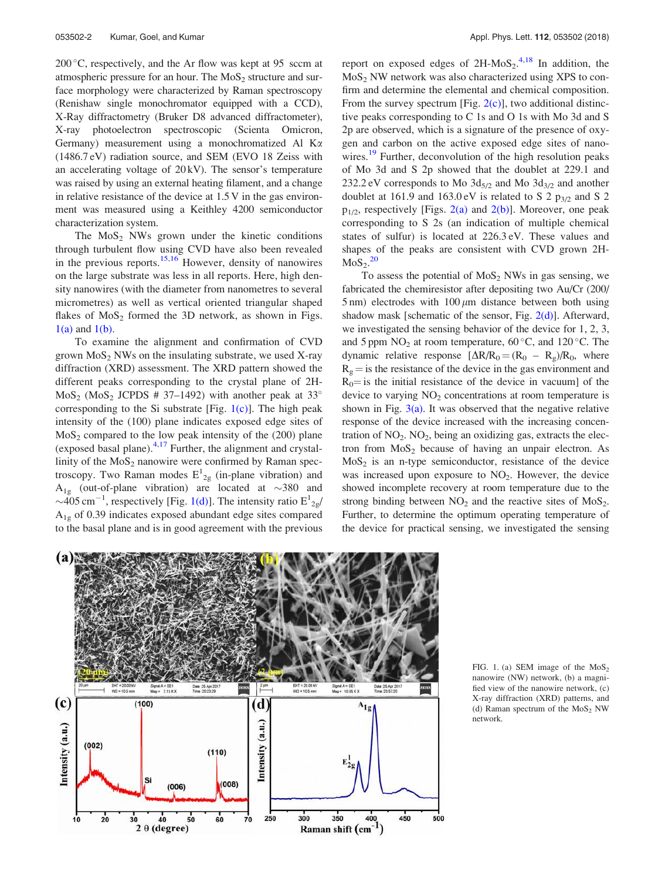200 °C, respectively, and the Ar flow was kept at 95 sccm at atmospheric pressure for an hour. The  $MoS<sub>2</sub>$  structure and surface morphology were characterized by Raman spectroscopy (Renishaw single monochromator equipped with a CCD), X-Ray diffractometry (Bruker D8 advanced diffractometer), X-ray photoelectron spectroscopic (Scienta Omicron, Germany) measurement using a monochromatized Al  $K_{\alpha}$ (1486.7 eV) radiation source, and SEM (EVO 18 Zeiss with an accelerating voltage of  $20 \text{kV}$ ). The sensor's temperature was raised by using an external heating filament, and a change in relative resistance of the device at 1.5 V in the gas environment was measured using a Keithley 4200 semiconductor characterization system.

The  $MoS<sub>2</sub> NWs$  grown under the kinetic conditions through turbulent flow using CVD have also been revealed in the previous reports. $15,16$  However, density of nanowires on the large substrate was less in all reports. Here, high density nanowires (with the diameter from nanometres to several micrometres) as well as vertical oriented triangular shaped flakes of  $MoS<sub>2</sub>$  formed the 3D network, as shown in Figs.  $1(a)$  and  $1(b)$ .

To examine the alignment and confirmation of CVD grown  $MoS<sub>2</sub> NWs$  on the insulating substrate, we used X-ray diffraction (XRD) assessment. The XRD pattern showed the different peaks corresponding to the crystal plane of 2H- $MoS<sub>2</sub> (MoS<sub>2</sub> JCPDS # 37–1492) with another peak at 33<sup>°</sup>$ corresponding to the Si substrate [Fig.  $1(c)$ ]. The high peak intensity of the (100) plane indicates exposed edge sites of  $MoS<sub>2</sub>$  compared to the low peak intensity of the (200) plane (exposed basal plane). $4,17$  Further, the alignment and crystallinity of the  $MoS<sub>2</sub>$  nanowire were confirmed by Raman spectroscopy. Two Raman modes  $E_{2g}^{1}$  (in-plane vibration) and  $A_{1g}$  (out-of-plane vibration) are located at  $\sim$ 380 and  $\sim$ 405 cm<sup>-1</sup>, respectively [Fig. 1(d)]. The intensity ratio  $E_{2g}^{1}/$  $A_{1g}$  of 0.39 indicates exposed abundant edge sites compared to the basal plane and is in good agreement with the previous

report on exposed edges of  $2H-MoS_2$ .<sup>4,18</sup> In addition, the  $MoS<sub>2</sub> NW$  network was also characterized using XPS to confirm and determine the elemental and chemical composition. From the survey spectrum [Fig.  $2(c)$ ], two additional distinctive peaks corresponding to C 1s and O 1s with Mo 3d and S 2p are observed, which is a signature of the presence of oxygen and carbon on the active exposed edge sites of nanowires.<sup>19</sup> Further, deconvolution of the high resolution peaks of Mo 3d and S 2p showed that the doublet at 229.1 and 232.2 eV corresponds to Mo  $3d_{5/2}$  and Mo  $3d_{3/2}$  and another doublet at 161.9 and 163.0 eV is related to S 2  $p_{3/2}$  and S 2  $p_{1/2}$ , respectively [Figs. 2(a) and 2(b)]. Moreover, one peak corresponding to S 2s (an indication of multiple chemical states of sulfur) is located at 226.3 eV. These values and shapes of the peaks are consistent with CVD grown 2H- $MoS<sub>2</sub>$ .<sup>20</sup>

To assess the potential of  $MoS<sub>2</sub> NWs$  in gas sensing, we fabricated the chemiresistor after depositing two Au/Cr (200/ 5 nm) electrodes with  $100 \mu m$  distance between both using shadow mask [schematic of the sensor, Fig. 2(d)]. Afterward, we investigated the sensing behavior of the device for 1, 2, 3, and 5 ppm  $NO_2$  at room temperature, 60 °C, and 120 °C. The dynamic relative response  $[\Delta R/R_0 = (R_0 - R_g)/R_0$ , where  $R<sub>g</sub> =$  is the resistance of the device in the gas environment and  $R_0$ = is the initial resistance of the device in vacuum] of the device to varying  $NO<sub>2</sub>$  concentrations at room temperature is shown in Fig.  $3(a)$ . It was observed that the negative relative response of the device increased with the increasing concentration of NO<sub>2</sub>. NO<sub>2</sub>, being an oxidizing gas, extracts the electron from  $MoS<sub>2</sub>$  because of having an unpair electron. As  $MoS<sub>2</sub>$  is an n-type semiconductor, resistance of the device was increased upon exposure to NO<sub>2</sub>. However, the device showed incomplete recovery at room temperature due to the strong binding between  $NO<sub>2</sub>$  and the reactive sites of  $MoS<sub>2</sub>$ . Further, to determine the optimum operating temperature of the device for practical sensing, we investigated the sensing



FIG. 1. (a) SEM image of the  $MoS<sub>2</sub>$ nanowire (NW) network, (b) a magnified view of the nanowire network, (c) X-ray diffraction (XRD) patterns, and (d) Raman spectrum of the  $MoS<sub>2</sub> NW$ network.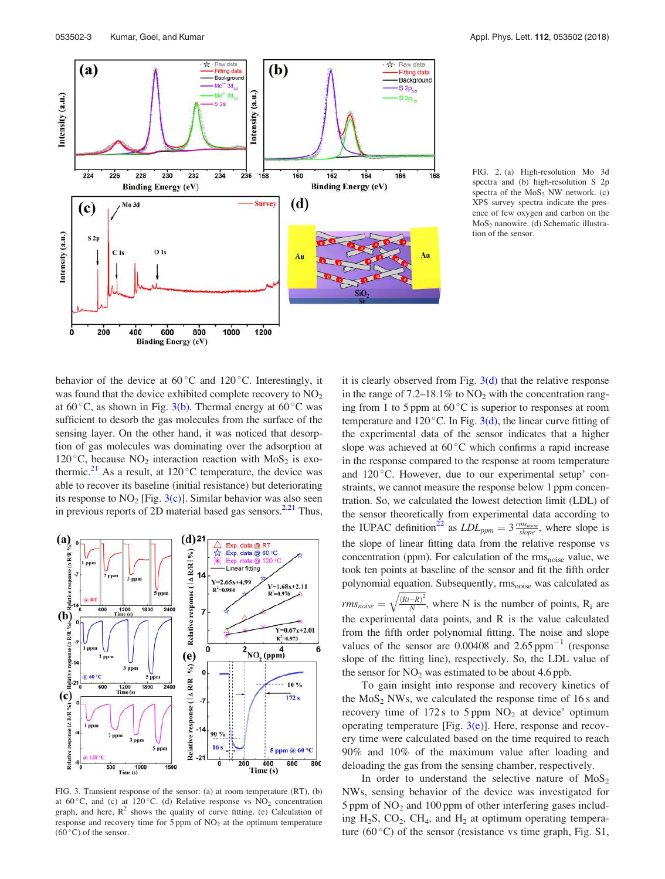

FIG. 2. (a) High-resolution Mo 3d spectra and (b) high-resolution S 2p spectra of the  $MoS<sub>2</sub> NW$  network. (c) XPS survey spectra indicate the presence of few oxygen and carbon on the MoS<sup>2</sup> nanowire. (d) Schematic illustration of the sensor.

behavior of the device at  $60^{\circ}$ C and  $120^{\circ}$ C. Interestingly, it was found that the device exhibited complete recovery to  $NO<sub>2</sub>$ at  $60^{\circ}$ C, as shown in Fig. 3(b). Thermal energy at  $60^{\circ}$ C was sufficient to desorb the gas molecules from the surface of the sensing layer. On the other hand, it was noticed that desorption of gas molecules was dominating over the adsorption at 120 °C, because  $NO<sub>2</sub>$  interaction reaction with  $MoS<sub>2</sub>$  is exothermic.<sup>21</sup> As a result, at 120 °C temperature, the device was able to recover its baseline (initial resistance) but deteriorating its response to  $NO<sub>2</sub>$  [Fig. 3(c)]. Similar behavior was also seen in previous reports of 2D material based gas sensors. $2.21$  Thus,



FIG. 3. Transient response of the sensor: (a) at room temperature (RT), (b) at 60 $^{\circ}$ C, and (c) at 120 $^{\circ}$ C. (d) Relative response vs NO<sub>2</sub> concentration graph, and here,  $R^2$  shows the quality of curve fitting. (e) Calculation of response and recovery time for  $5$  ppm of  $NO<sub>2</sub>$  at the optimum temperature  $(60 °C)$  of the sensor.

it is clearly observed from Fig.  $3(d)$  that the relative response in the range of  $7.2{\text -}18.1\%$  to  $NO<sub>2</sub>$  with the concentration ranging from 1 to 5 ppm at  $60^{\circ}$ C is superior to responses at room temperature and  $120^{\circ}$ C. In Fig.  $3(d)$ , the linear curve fitting of the experimental data of the sensor indicates that a higher slope was achieved at  $60^{\circ}$ C which confirms a rapid increase in the response compared to the response at room temperature and 120 °C. However, due to our experimental setup' constraints, we cannot measure the response below 1 ppm concentration. So, we calculated the lowest detection limit (LDL) of the sensor theoretically from experimental data according to the IUPAC definition<sup>22</sup> as  $LDL_{ppm} = 3 \frac{rms_{noise}}{slope}$ , where slope is the slope of linear fitting data from the relative response vs concentration (ppm). For calculation of the rmsnoise value, we took ten points at baseline of the sensor and fit the fifth order polynomial equation. Subsequently, rms<sub>noise</sub> was calculated as  $rms_{noise} = \sqrt{\frac{(Ri - R)^2}{N}}$ N  $\sqrt{\frac{(R_i - R)^2}{N}}$ , where N is the number of points, R<sub>i</sub> are the experimental data points, and R is the value calculated from the fifth order polynomial fitting. The noise and slope values of the sensor are  $0.00408$  and  $2.65$  ppm<sup>-1</sup> (response slope of the fitting line), respectively. So, the LDL value of the sensor for  $NO<sub>2</sub>$  was estimated to be about 4.6 ppb.

To gain insight into response and recovery kinetics of the  $MoS<sub>2</sub> NWs$ , we calculated the response time of 16 s and recovery time of  $172 s$  to  $5$  ppm  $NO<sub>2</sub>$  at device' optimum operating temperature [Fig.  $3(e)$ ]. Here, response and recovery time were calculated based on the time required to reach 90% and 10% of the maximum value after loading and deloading the gas from the sensing chamber, respectively.

In order to understand the selective nature of  $MoS<sub>2</sub>$ NWs, sensing behavior of the device was investigated for  $5$  ppm of  $NO<sub>2</sub>$  and 100 ppm of other interfering gases including  $H_2S$ ,  $CO_2$ ,  $CH_4$ , and  $H_2$  at optimum operating temperature  $(60^{\circ}$ C) of the sensor (resistance vs time graph, Fig. S1,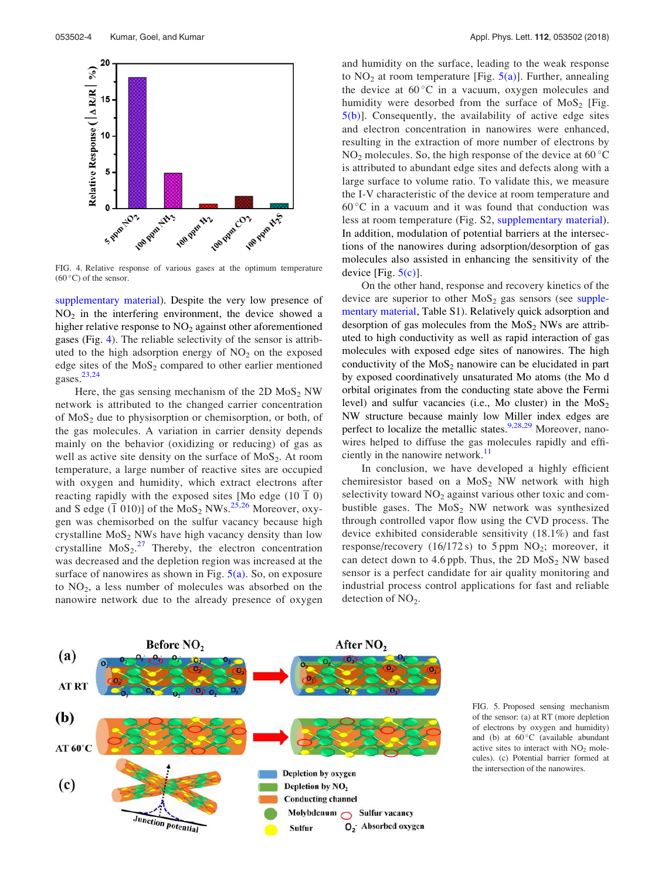

FIG. 4. Relative response of various gases at the optimum temperature  $(60^{\circ}C)$  of the sensor.

supplementary material). Despite the very low presence of  $NO<sub>2</sub>$  in the interfering environment, the device showed a higher relative response to  $NO<sub>2</sub>$  against other aforementioned gases (Fig. 4). The reliable selectivity of the sensor is attributed to the high adsorption energy of  $NO<sub>2</sub>$  on the exposed edge sites of the  $MoS<sub>2</sub>$  compared to other earlier mentioned gases. $23,24$ 

Here, the gas sensing mechanism of the  $2D$  MoS<sub>2</sub> NW network is attributed to the changed carrier concentration of  $MoS<sub>2</sub>$  due to physisorption or chemisorption, or both, of the gas molecules. A variation in carrier density depends mainly on the behavior (oxidizing or reducing) of gas as well as active site density on the surface of  $MoS_2$ . At room temperature, a large number of reactive sites are occupied with oxygen and humidity, which extract electrons after reacting rapidly with the exposed sites [Mo edge (10  $\overline{1}$  0) and S edge  $(\overline{1} \ 010)$ ] of the MoS<sub>2</sub> NWs.<sup>25,26</sup> Moreover, oxygen was chemisorbed on the sulfur vacancy because high crystalline  $MoS<sub>2</sub> NWs$  have high vacancy density than low crystalline  $M_0S_2$ .<sup>27</sup> Thereby, the electron concentration was decreased and the depletion region was increased at the surface of nanowires as shown in Fig.  $5(a)$ . So, on exposure to  $NO<sub>2</sub>$ , a less number of molecules was absorbed on the nanowire network due to the already presence of oxygen and humidity on the surface, leading to the weak response to  $NO<sub>2</sub>$  at room temperature [Fig.  $5(a)$ ]. Further, annealing the device at  $60^{\circ}$ C in a vacuum, oxygen molecules and humidity were desorbed from the surface of  $MoS<sub>2</sub>$  [Fig. 5(b)]. Consequently, the availability of active edge sites and electron concentration in nanowires were enhanced, resulting in the extraction of more number of electrons by  $NO<sub>2</sub>$  molecules. So, the high response of the device at 60 °C is attributed to abundant edge sites and defects along with a large surface to volume ratio. To validate this, we measure the I-V characteristic of the device at room temperature and 60 °C in a vacuum and it was found that conduction was less at room temperature (Fig. S2, supplementary material). In addition, modulation of potential barriers at the intersections of the nanowires during adsorption/desorption of gas molecules also assisted in enhancing the sensitivity of the device  $[Fig. 5(c)]$ .

On the other hand, response and recovery kinetics of the device are superior to other  $MoS<sub>2</sub>$  gas sensors (see supplementary material, Table S1). Relatively quick adsorption and desorption of gas molecules from the  $MoS<sub>2</sub> NW$ s are attributed to high conductivity as well as rapid interaction of gas molecules with exposed edge sites of nanowires. The high conductivity of the  $MoS<sub>2</sub>$  nanowire can be elucidated in part by exposed coordinatively unsaturated Mo atoms (the Mo d orbital originates from the conducting state above the Fermi level) and sulfur vacancies (i.e., Mo cluster) in the  $MoS<sub>2</sub>$ NW structure because mainly low Miller index edges are perfect to localize the metallic states.<sup>9,28,29</sup> Moreover, nanowires helped to diffuse the gas molecules rapidly and efficiently in the nanowire network.<sup>11</sup>

In conclusion, we have developed a highly efficient chemiresistor based on a  $MoS<sub>2</sub> NW$  network with high selectivity toward  $NO<sub>2</sub>$  against various other toxic and combustible gases. The  $MoS<sub>2</sub> NW$  network was synthesized through controlled vapor flow using the CVD process. The device exhibited considerable sensitivity (18.1%) and fast response/recovery  $(16/172 s)$  to 5 ppm NO<sub>2</sub>; moreover, it can detect down to 4.6 ppb. Thus, the 2D  $MoS<sub>2</sub> NW$  based sensor is a perfect candidate for air quality monitoring and industrial process control applications for fast and reliable detection of  $NO<sub>2</sub>$ .



FIG. 5. Proposed sensing mechanism of the sensor: (a) at RT (more depletion of electrons by oxygen and humidity) and (b) at  $60^{\circ}$ C (available abundant active sites to interact with  $NO<sub>2</sub>$  molecules). (c) Potential barrier formed at the intersection of the nanowires.